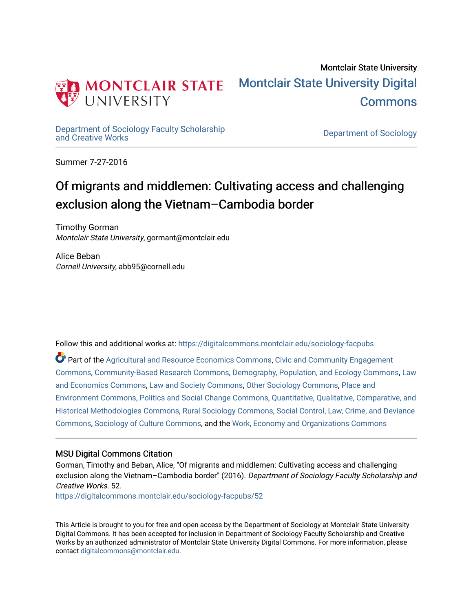

## Montclair State University [Montclair State University Digital](https://digitalcommons.montclair.edu/)  [Commons](https://digitalcommons.montclair.edu/)

[Department of Sociology Faculty Scholarship](https://digitalcommons.montclair.edu/sociology-facpubs)

Department of Sociology

Summer 7-27-2016

# Of migrants and middlemen: Cultivating access and challenging exclusion along the Vietnam–Cambodia border

Timothy Gorman Montclair State University, gormant@montclair.edu

Alice Beban Cornell University, abb95@cornell.edu

Follow this and additional works at: [https://digitalcommons.montclair.edu/sociology-facpubs](https://digitalcommons.montclair.edu/sociology-facpubs?utm_source=digitalcommons.montclair.edu%2Fsociology-facpubs%2F52&utm_medium=PDF&utm_campaign=PDFCoverPages)

Part of the [Agricultural and Resource Economics Commons,](http://network.bepress.com/hgg/discipline/317?utm_source=digitalcommons.montclair.edu%2Fsociology-facpubs%2F52&utm_medium=PDF&utm_campaign=PDFCoverPages) [Civic and Community Engagement](http://network.bepress.com/hgg/discipline/1028?utm_source=digitalcommons.montclair.edu%2Fsociology-facpubs%2F52&utm_medium=PDF&utm_campaign=PDFCoverPages)  [Commons](http://network.bepress.com/hgg/discipline/1028?utm_source=digitalcommons.montclair.edu%2Fsociology-facpubs%2F52&utm_medium=PDF&utm_campaign=PDFCoverPages), [Community-Based Research Commons,](http://network.bepress.com/hgg/discipline/1047?utm_source=digitalcommons.montclair.edu%2Fsociology-facpubs%2F52&utm_medium=PDF&utm_campaign=PDFCoverPages) [Demography, Population, and Ecology Commons](http://network.bepress.com/hgg/discipline/418?utm_source=digitalcommons.montclair.edu%2Fsociology-facpubs%2F52&utm_medium=PDF&utm_campaign=PDFCoverPages), [Law](http://network.bepress.com/hgg/discipline/612?utm_source=digitalcommons.montclair.edu%2Fsociology-facpubs%2F52&utm_medium=PDF&utm_campaign=PDFCoverPages) [and Economics Commons,](http://network.bepress.com/hgg/discipline/612?utm_source=digitalcommons.montclair.edu%2Fsociology-facpubs%2F52&utm_medium=PDF&utm_campaign=PDFCoverPages) [Law and Society Commons,](http://network.bepress.com/hgg/discipline/853?utm_source=digitalcommons.montclair.edu%2Fsociology-facpubs%2F52&utm_medium=PDF&utm_campaign=PDFCoverPages) [Other Sociology Commons,](http://network.bepress.com/hgg/discipline/434?utm_source=digitalcommons.montclair.edu%2Fsociology-facpubs%2F52&utm_medium=PDF&utm_campaign=PDFCoverPages) [Place and](http://network.bepress.com/hgg/discipline/424?utm_source=digitalcommons.montclair.edu%2Fsociology-facpubs%2F52&utm_medium=PDF&utm_campaign=PDFCoverPages)  [Environment Commons](http://network.bepress.com/hgg/discipline/424?utm_source=digitalcommons.montclair.edu%2Fsociology-facpubs%2F52&utm_medium=PDF&utm_campaign=PDFCoverPages), [Politics and Social Change Commons](http://network.bepress.com/hgg/discipline/425?utm_source=digitalcommons.montclair.edu%2Fsociology-facpubs%2F52&utm_medium=PDF&utm_campaign=PDFCoverPages), [Quantitative, Qualitative, Comparative, and](http://network.bepress.com/hgg/discipline/423?utm_source=digitalcommons.montclair.edu%2Fsociology-facpubs%2F52&utm_medium=PDF&utm_campaign=PDFCoverPages)  [Historical Methodologies Commons](http://network.bepress.com/hgg/discipline/423?utm_source=digitalcommons.montclair.edu%2Fsociology-facpubs%2F52&utm_medium=PDF&utm_campaign=PDFCoverPages), [Rural Sociology Commons,](http://network.bepress.com/hgg/discipline/428?utm_source=digitalcommons.montclair.edu%2Fsociology-facpubs%2F52&utm_medium=PDF&utm_campaign=PDFCoverPages) [Social Control, Law, Crime, and Deviance](http://network.bepress.com/hgg/discipline/429?utm_source=digitalcommons.montclair.edu%2Fsociology-facpubs%2F52&utm_medium=PDF&utm_campaign=PDFCoverPages) [Commons](http://network.bepress.com/hgg/discipline/429?utm_source=digitalcommons.montclair.edu%2Fsociology-facpubs%2F52&utm_medium=PDF&utm_campaign=PDFCoverPages), [Sociology of Culture Commons,](http://network.bepress.com/hgg/discipline/431?utm_source=digitalcommons.montclair.edu%2Fsociology-facpubs%2F52&utm_medium=PDF&utm_campaign=PDFCoverPages) and the [Work, Economy and Organizations Commons](http://network.bepress.com/hgg/discipline/433?utm_source=digitalcommons.montclair.edu%2Fsociology-facpubs%2F52&utm_medium=PDF&utm_campaign=PDFCoverPages) 

## MSU Digital Commons Citation

Gorman, Timothy and Beban, Alice, "Of migrants and middlemen: Cultivating access and challenging exclusion along the Vietnam–Cambodia border" (2016). Department of Sociology Faculty Scholarship and Creative Works. 52.

[https://digitalcommons.montclair.edu/sociology-facpubs/52](https://digitalcommons.montclair.edu/sociology-facpubs/52?utm_source=digitalcommons.montclair.edu%2Fsociology-facpubs%2F52&utm_medium=PDF&utm_campaign=PDFCoverPages) 

This Article is brought to you for free and open access by the Department of Sociology at Montclair State University Digital Commons. It has been accepted for inclusion in Department of Sociology Faculty Scholarship and Creative Works by an authorized administrator of Montclair State University Digital Commons. For more information, please contact [digitalcommons@montclair.edu](mailto:digitalcommons@montclair.edu).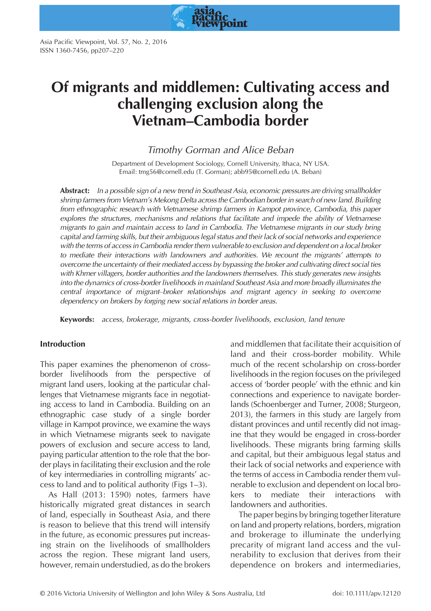## Of migrants and middlemen: Cultivating access and challenging exclusion along the Vietnam–Cambodia border

## Timothy Gorman and Alice Beban

Department of Development Sociology, Cornell University, Ithaca, NY USA. Email: tmg56@cornell.edu (T. Gorman); abb95@cornell.edu (A. Beban)

Abstract: In a possible sign of a new trend in Southeast Asia, economic pressures are driving smallholder shrimp farmers from Vietnam's Mekong Delta across the Cambodian border in search of new land. Building from ethnographic research with Vietnamese shrimp farmers in Kampot province, Cambodia, this paper explores the structures, mechanisms and relations that facilitate and impede the ability of Vietnamese migrants to gain and maintain access to land in Cambodia. The Vietnamese migrants in our study bring capital and farming skills, but their ambiguous legal status and their lack of social networks and experience with the terms of access in Cambodia render them vulnerable to exclusion and dependent on a local broker to mediate their interactions with landowners and authorities. We recount the migrants' attempts to overcome the uncertainty of their mediated access by bypassing the broker and cultivating direct social ties with Khmer villagers, border authorities and the landowners themselves. This study generates new insights into the dynamics of cross-border livelihoods in mainland Southeast Asia and more broadly illuminates the central importance of migrant–broker relationships and migrant agency in seeking to overcome dependency on brokers by forging new social relations in border areas.

Keywords: access, brokerage, migrants, cross-border livelihoods, exclusion, land tenure

### **Introduction**

This paper examines the phenomenon of crossborder livelihoods from the perspective of migrant land users, looking at the particular challenges that Vietnamese migrants face in negotiating access to land in Cambodia. Building on an ethnographic case study of a single border village in Kampot province, we examine the ways in which Vietnamese migrants seek to navigate powers of exclusion and secure access to land, paying particular attention to the role that the border plays in facilitating their exclusion and the role of key intermediaries in controlling migrants' access to land and to political authority (Figs 1–3).

As Hall (2013: 1590) notes, farmers have historically migrated great distances in search of land, especially in Southeast Asia, and there is reason to believe that this trend will intensify in the future, as economic pressures put increasing strain on the livelihoods of smallholders across the region. These migrant land users, however, remain understudied, as do the brokers

and middlemen that facilitate their acquisition of land and their cross-border mobility. While much of the recent scholarship on cross-border livelihoods in the region focuses on the privileged access of 'border people' with the ethnic and kin connections and experience to navigate borderlands (Schoenberger and Turner, 2008; Sturgeon, 2013), the farmers in this study are largely from distant provinces and until recently did not imagine that they would be engaged in cross-border livelihoods. These migrants bring farming skills and capital, but their ambiguous legal status and their lack of social networks and experience with the terms of access in Cambodia render them vulnerable to exclusion and dependent on local brokers to mediate their interactions with landowners and authorities.

The paper begins by bringing together literature on land and property relations, borders, migration and brokerage to illuminate the underlying precarity of migrant land access and the vulnerability to exclusion that derives from their dependence on brokers and intermediaries,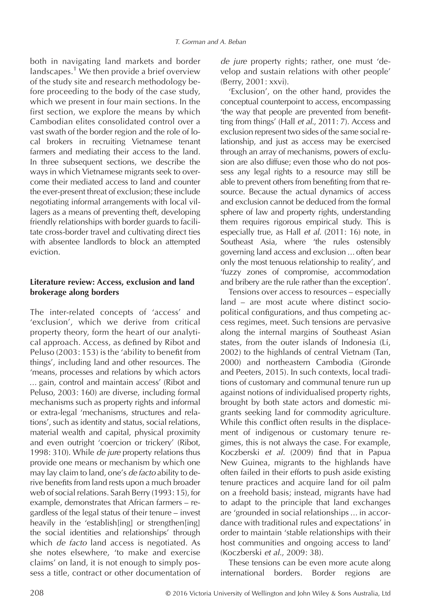both in navigating land markets and border  $landscapes.<sup>1</sup>$  We then provide a brief overview of the study site and research methodology before proceeding to the body of the case study, which we present in four main sections. In the first section, we explore the means by which Cambodian elites consolidated control over a vast swath of the border region and the role of local brokers in recruiting Vietnamese tenant farmers and mediating their access to the land. In three subsequent sections, we describe the ways in which Vietnamese migrants seek to overcome their mediated access to land and counter the ever-present threat of exclusion; these include negotiating informal arrangements with local villagers as a means of preventing theft, developing friendly relationships with border guards to facilitate cross-border travel and cultivating direct ties with absentee landlords to block an attempted eviction.

## Literature review: Access, exclusion and land brokerage along borders

The inter-related concepts of 'access' and 'exclusion', which we derive from critical property theory, form the heart of our analytical approach. Access, as defined by Ribot and Peluso (2003: 153) is the 'ability to benefit from things', including land and other resources. The 'means, processes and relations by which actors … gain, control and maintain access' (Ribot and Peluso, 2003: 160) are diverse, including formal mechanisms such as property rights and informal or extra-legal 'mechanisms, structures and relations', such as identity and status, social relations, material wealth and capital, physical proximity and even outright 'coercion or trickery' (Ribot, 1998: 310). While de jure property relations thus provide one means or mechanism by which one may lay claim to land, one's de facto ability to derive benefits from land rests upon a much broader web of social relations. Sarah Berry (1993: 15), for example, demonstrates that African farmers – regardless of the legal status of their tenure – invest heavily in the 'establish[ing] or strengthen[ing] the social identities and relationships' through which *de facto* land access is negotiated. As she notes elsewhere, 'to make and exercise claims' on land, it is not enough to simply possess a title, contract or other documentation of

de jure property rights; rather, one must 'develop and sustain relations with other people' (Berry, 2001: xxvi).

'Exclusion', on the other hand, provides the conceptual counterpoint to access, encompassing 'the way that people are prevented from benefitting from things' (Hall et al., 2011: 7). Access and exclusion represent two sides of the same social relationship, and just as access may be exercised through an array of mechanisms, powers of exclusion are also diffuse; even those who do not possess any legal rights to a resource may still be able to prevent others from benefiting from that resource. Because the actual dynamics of access and exclusion cannot be deduced from the formal sphere of law and property rights, understanding them requires rigorous empirical study. This is especially true, as Hall et al. (2011: 16) note, in Southeast Asia, where 'the rules ostensibly governing land access and exclusion … often bear only the most tenuous relationship to reality', and 'fuzzy zones of compromise, accommodation and bribery are the rule rather than the exception'.

Tensions over access to resources – especially land – are most acute where distinct sociopolitical configurations, and thus competing access regimes, meet. Such tensions are pervasive along the internal margins of Southeast Asian states, from the outer islands of Indonesia (Li, 2002) to the highlands of central Vietnam (Tan, 2000) and northeastern Cambodia (Gironde and Peeters, 2015). In such contexts, local traditions of customary and communal tenure run up against notions of individualised property rights, brought by both state actors and domestic migrants seeking land for commodity agriculture. While this conflict often results in the displacement of indigenous or customary tenure regimes, this is not always the case. For example, Koczberski et al. (2009) find that in Papua New Guinea, migrants to the highlands have often failed in their efforts to push aside existing tenure practices and acquire land for oil palm on a freehold basis; instead, migrants have had to adapt to the principle that land exchanges are 'grounded in social relationships … in accordance with traditional rules and expectations' in order to maintain 'stable relationships with their host communities and ongoing access to land' (Koczberski et al., 2009: 38).

These tensions can be even more acute along international borders. Border regions are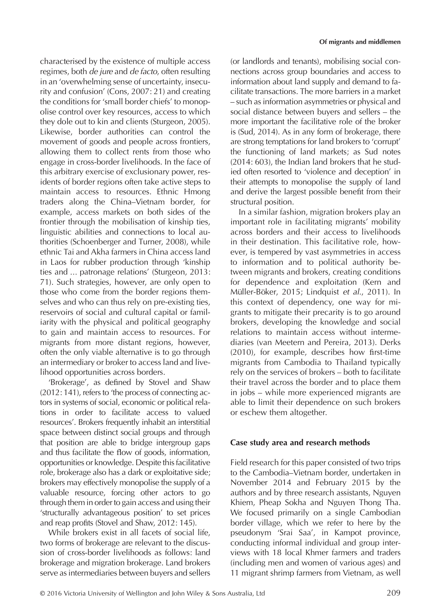characterised by the existence of multiple access regimes, both de jure and de facto, often resulting in an 'overwhelming sense of uncertainty, insecurity and confusion' (Cons, 2007: 21) and creating the conditions for 'small border chiefs' to monopolise control over key resources, access to which they dole out to kin and clients (Sturgeon, 2005). Likewise, border authorities can control the movement of goods and people across frontiers, allowing them to collect rents from those who engage in cross-border livelihoods. In the face of this arbitrary exercise of exclusionary power, residents of border regions often take active steps to maintain access to resources. Ethnic Hmong traders along the China–Vietnam border, for example, access markets on both sides of the frontier through the mobilisation of kinship ties, linguistic abilities and connections to local authorities (Schoenberger and Turner, 2008), while ethnic Tai and Akha farmers in China access land in Laos for rubber production through 'kinship ties and … patronage relations' (Sturgeon, 2013: 71). Such strategies, however, are only open to those who come from the border regions themselves and who can thus rely on pre-existing ties, reservoirs of social and cultural capital or familiarity with the physical and political geography to gain and maintain access to resources. For migrants from more distant regions, however, often the only viable alternative is to go through an intermediary or broker to access land and livelihood opportunities across borders.

'Brokerage', as defined by Stovel and Shaw (2012: 141), refers to 'the process of connecting actors in systems of social, economic or political relations in order to facilitate access to valued resources'. Brokers frequently inhabit an interstitial space between distinct social groups and through that position are able to bridge intergroup gaps and thus facilitate the flow of goods, information, opportunities or knowledge. Despite this facilitative role, brokerage also has a dark or exploitative side; brokers may effectively monopolise the supply of a valuable resource, forcing other actors to go through them in order to gain access and using their 'structurally advantageous position' to set prices and reap profits (Stovel and Shaw, 2012: 145).

While brokers exist in all facets of social life, two forms of brokerage are relevant to the discussion of cross-border livelihoods as follows: land brokerage and migration brokerage. Land brokers serve as intermediaries between buyers and sellers (or landlords and tenants), mobilising social connections across group boundaries and access to information about land supply and demand to facilitate transactions. The more barriers in a market – such as information asymmetries or physical and social distance between buyers and sellers – the more important the facilitative role of the broker is (Sud, 2014). As in any form of brokerage, there are strong temptations for land brokers to 'corrupt' the functioning of land markets; as Sud notes (2014: 603), the Indian land brokers that he studied often resorted to 'violence and deception' in their attempts to monopolise the supply of land and derive the largest possible benefit from their structural position.

In a similar fashion, migration brokers play an important role in facilitating migrants' mobility across borders and their access to livelihoods in their destination. This facilitative role, however, is tempered by vast asymmetries in access to information and to political authority between migrants and brokers, creating conditions for dependence and exploitation (Kern and Müller-Böker, 2015; Lindquist et al., 2011). In this context of dependency, one way for migrants to mitigate their precarity is to go around brokers, developing the knowledge and social relations to maintain access without intermediaries (van Meetern and Pereira, 2013). Derks (2010), for example, describes how first-time migrants from Cambodia to Thailand typically rely on the services of brokers – both to facilitate their travel across the border and to place them in jobs – while more experienced migrants are able to limit their dependence on such brokers or eschew them altogether.

## Case study area and research methods

Field research for this paper consisted of two trips to the Cambodia–Vietnam border, undertaken in November 2014 and February 2015 by the authors and by three research assistants, Nguyen Khiem, Pheap Sokha and Nguyen Thong Tha. We focused primarily on a single Cambodian border village, which we refer to here by the pseudonym 'Srai Saa', in Kampot province, conducting informal individual and group interviews with 18 local Khmer farmers and traders (including men and women of various ages) and 11 migrant shrimp farmers from Vietnam, as well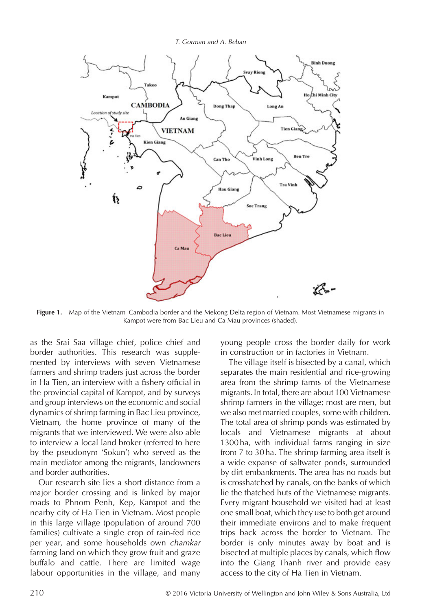T. Gorman and A. Beban



Figure 1. Map of the Vietnam–Cambodia border and the Mekong Delta region of Vietnam. Most Vietnamese migrants in Kampot were from Bac Lieu and Ca Mau provinces (shaded).

as the Srai Saa village chief, police chief and border authorities. This research was supplemented by interviews with seven Vietnamese farmers and shrimp traders just across the border in Ha Tien, an interview with a fishery official in the provincial capital of Kampot, and by surveys and group interviews on the economic and social dynamics of shrimp farming in Bac Lieu province, Vietnam, the home province of many of the migrants that we interviewed. We were also able to interview a local land broker (referred to here by the pseudonym 'Sokun') who served as the main mediator among the migrants, landowners and border authorities.

Our research site lies a short distance from a major border crossing and is linked by major roads to Phnom Penh, Kep, Kampot and the nearby city of Ha Tien in Vietnam. Most people in this large village (population of around 700 families) cultivate a single crop of rain-fed rice per year, and some households own chamkar farming land on which they grow fruit and graze buffalo and cattle. There are limited wage labour opportunities in the village, and many

young people cross the border daily for work in construction or in factories in Vietnam.

The village itself is bisected by a canal, which separates the main residential and rice-growing area from the shrimp farms of the Vietnamese migrants. In total, there are about 100 Vietnamese shrimp farmers in the village; most are men, but we also met married couples, some with children. The total area of shrimp ponds was estimated by locals and Vietnamese migrants at about 1300 ha, with individual farms ranging in size from 7 to 30 ha. The shrimp farming area itself is a wide expanse of saltwater ponds, surrounded by dirt embankments. The area has no roads but is crosshatched by canals, on the banks of which lie the thatched huts of the Vietnamese migrants. Every migrant household we visited had at least one small boat, which they use to both get around their immediate environs and to make frequent trips back across the border to Vietnam. The border is only minutes away by boat and is bisected at multiple places by canals, which flow into the Giang Thanh river and provide easy access to the city of Ha Tien in Vietnam.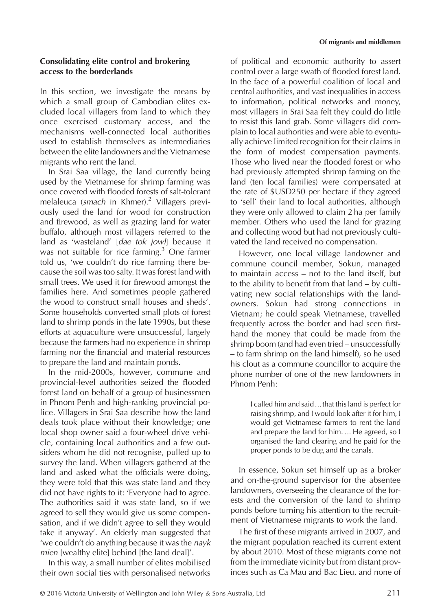## Consolidating elite control and brokering access to the borderlands

In this section, we investigate the means by which a small group of Cambodian elites excluded local villagers from land to which they once exercised customary access, and the mechanisms well-connected local authorities used to establish themselves as intermediaries between the elite landowners and the Vietnamese migrants who rent the land.

In Srai Saa village, the land currently being used by the Vietnamese for shrimp farming was once covered with flooded forests of salt-tolerant melaleuca (smach in Khmer).<sup>2</sup> Villagers previously used the land for wood for construction and firewood, as well as grazing land for water buffalo, although most villagers referred to the land as 'wasteland' [dae tok jowl] because it was not suitable for rice farming.<sup>3</sup> One farmer told us, 'we couldn't do rice farming there because the soil was too salty. It was forest land with small trees. We used it for firewood amongst the families here. And sometimes people gathered the wood to construct small houses and sheds'. Some households converted small plots of forest land to shrimp ponds in the late 1990s, but these efforts at aquaculture were unsuccessful, largely because the farmers had no experience in shrimp farming nor the financial and material resources to prepare the land and maintain ponds.

In the mid-2000s, however, commune and provincial-level authorities seized the flooded forest land on behalf of a group of businessmen in Phnom Penh and high-ranking provincial police. Villagers in Srai Saa describe how the land deals took place without their knowledge; one local shop owner said a four-wheel drive vehicle, containing local authorities and a few outsiders whom he did not recognise, pulled up to survey the land. When villagers gathered at the land and asked what the officials were doing, they were told that this was state land and they did not have rights to it: 'Everyone had to agree. The authorities said it was state land, so if we agreed to sell they would give us some compensation, and if we didn't agree to sell they would take it anyway'. An elderly man suggested that 'we couldn't do anything because it was the nayk mien [wealthy elite] behind [the land deal]'.

In this way, a small number of elites mobilised their own social ties with personalised networks of political and economic authority to assert control over a large swath of flooded forest land. In the face of a powerful coalition of local and central authorities, and vast inequalities in access to information, political networks and money, most villagers in Srai Saa felt they could do little to resist this land grab. Some villagers did complain to local authorities and were able to eventually achieve limited recognition for their claims in the form of modest compensation payments. Those who lived near the flooded forest or who had previously attempted shrimp farming on the land (ten local families) were compensated at the rate of \$USD250 per hectare if they agreed to 'sell' their land to local authorities, although they were only allowed to claim 2 ha per family member. Others who used the land for grazing and collecting wood but had not previously cultivated the land received no compensation.

However, one local village landowner and commune council member, Sokun, managed to maintain access – not to the land itself, but to the ability to benefit from that land – by cultivating new social relationships with the landowners. Sokun had strong connections in Vietnam; he could speak Vietnamese, travelled frequently across the border and had seen firsthand the money that could be made from the shrimp boom (and had even tried – unsuccessfully – to farm shrimp on the land himself), so he used his clout as a commune councillor to acquire the phone number of one of the new landowners in Phnom Penh:

> I called him and said … that this land is perfect for raising shrimp, and I would look after it for him, I would get Vietnamese farmers to rent the land and prepare the land for him. … He agreed, so I organised the land clearing and he paid for the proper ponds to be dug and the canals.

In essence, Sokun set himself up as a broker and on-the-ground supervisor for the absentee landowners, overseeing the clearance of the forests and the conversion of the land to shrimp ponds before turning his attention to the recruitment of Vietnamese migrants to work the land.

The first of these migrants arrived in 2007, and the migrant population reached its current extent by about 2010. Most of these migrants come not from the immediate vicinity but from distant provinces such as Ca Mau and Bac Lieu, and none of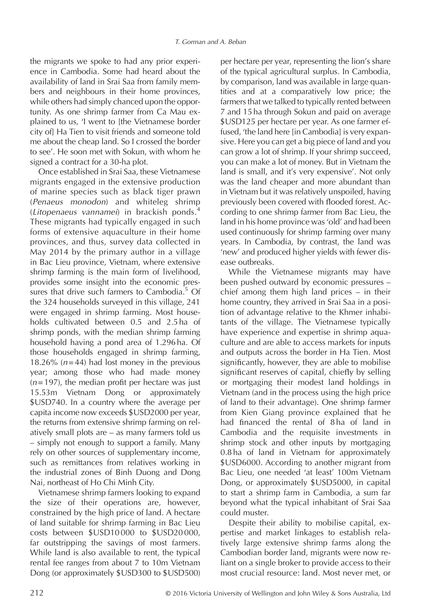the migrants we spoke to had any prior experience in Cambodia. Some had heard about the availability of land in Srai Saa from family members and neighbours in their home provinces, while others had simply chanced upon the opportunity. As one shrimp farmer from Ca Mau explained to us, 'I went to [the Vietnamese border city of] Ha Tien to visit friends and someone told me about the cheap land. So I crossed the border to see'. He soon met with Sokun, with whom he signed a contract for a 30-ha plot.

Once established in Srai Saa, these Vietnamese migrants engaged in the extensive production of marine species such as black tiger prawn (Penaeus monodon) and whiteleg shrimp (Litopenaeus vannamei) in brackish ponds. $4$ These migrants had typically engaged in such forms of extensive aquaculture in their home provinces, and thus, survey data collected in May 2014 by the primary author in a village in Bac Lieu province, Vietnam, where extensive shrimp farming is the main form of livelihood, provides some insight into the economic pressures that drive such farmers to Cambodia. $5$  Of the 324 households surveyed in this village, 241 were engaged in shrimp farming. Most households cultivated between 0.5 and 2.5 ha of shrimp ponds, with the median shrimp farming household having a pond area of 1.296 ha. Of those households engaged in shrimp farming, 18.26% ( $n=44$ ) had lost money in the previous year; among those who had made money  $(n= 197)$ , the median profit per hectare was just 15.53m Vietnam Dong or approximately \$USD740. In a country where the average per capita income now exceeds \$USD2000 per year, the returns from extensive shrimp farming on relatively small plots are – as many farmers told us – simply not enough to support a family. Many rely on other sources of supplementary income, such as remittances from relatives working in the industrial zones of Binh Duong and Dong Nai, northeast of Ho Chi Minh City.

Vietnamese shrimp farmers looking to expand the size of their operations are, however, constrained by the high price of land. A hectare of land suitable for shrimp farming in Bac Lieu costs between \$USD10 000 to \$USD20 000, far outstripping the savings of most farmers. While land is also available to rent, the typical rental fee ranges from about 7 to 10m Vietnam Dong (or approximately \$USD300 to \$USD500)

per hectare per year, representing the lion's share of the typical agricultural surplus. In Cambodia, by comparison, land was available in large quantities and at a comparatively low price; the farmers that we talked to typically rented between 7 and 15 ha through Sokun and paid on average \$USD125 per hectare per year. As one farmer effused, 'the land here [in Cambodia] is very expansive. Here you can get a big piece of land and you can grow a lot of shrimp. If your shrimp succeed, you can make a lot of money. But in Vietnam the land is small, and it's very expensive'. Not only was the land cheaper and more abundant than in Vietnam but it was relatively unspoiled, having previously been covered with flooded forest. According to one shrimp farmer from Bac Lieu, the land in his home province was'old' and had been used continuously for shrimp farming over many years. In Cambodia, by contrast, the land was 'new' and produced higher yields with fewer disease outbreaks.

While the Vietnamese migrants may have been pushed outward by economic pressures – chief among them high land prices – in their home country, they arrived in Srai Saa in a position of advantage relative to the Khmer inhabitants of the village. The Vietnamese typically have experience and expertise in shrimp aquaculture and are able to access markets for inputs and outputs across the border in Ha Tien. Most significantly, however, they are able to mobilise significant reserves of capital, chiefly by selling or mortgaging their modest land holdings in Vietnam (and in the process using the high price of land to their advantage). One shrimp farmer from Kien Giang province explained that he had financed the rental of 8 ha of land in Cambodia and the requisite investments in shrimp stock and other inputs by mortgaging 0.8 ha of land in Vietnam for approximately \$USD6000. According to another migrant from Bac Lieu, one needed 'at least' 100m Vietnam Dong, or approximately \$USD5000, in capital to start a shrimp farm in Cambodia, a sum far beyond what the typical inhabitant of Srai Saa could muster.

Despite their ability to mobilise capital, expertise and market linkages to establish relatively large extensive shrimp farms along the Cambodian border land, migrants were now reliant on a single broker to provide access to their most crucial resource: land. Most never met, or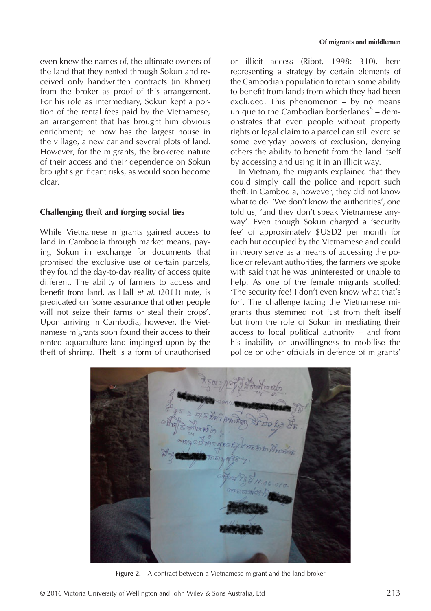even knew the names of, the ultimate owners of the land that they rented through Sokun and received only handwritten contracts (in Khmer) from the broker as proof of this arrangement. For his role as intermediary, Sokun kept a portion of the rental fees paid by the Vietnamese, an arrangement that has brought him obvious enrichment; he now has the largest house in the village, a new car and several plots of land. However, for the migrants, the brokered nature of their access and their dependence on Sokun brought significant risks, as would soon become clear.

### Challenging theft and forging social ties

While Vietnamese migrants gained access to land in Cambodia through market means, paying Sokun in exchange for documents that promised the exclusive use of certain parcels, they found the day-to-day reality of access quite different. The ability of farmers to access and benefit from land, as Hall et al. (2011) note, is predicated on 'some assurance that other people will not seize their farms or steal their crops'. Upon arriving in Cambodia, however, the Vietnamese migrants soon found their access to their rented aquaculture land impinged upon by the theft of shrimp. Theft is a form of unauthorised

or illicit access (Ribot, 1998: 310), here representing a strategy by certain elements of the Cambodian population to retain some ability to benefit from lands from which they had been excluded. This phenomenon – by no means unique to the Cambodian borderlands<sup>6</sup> – demonstrates that even people without property rights or legal claim to a parcel can still exercise some everyday powers of exclusion, denying others the ability to benefit from the land itself by accessing and using it in an illicit way.

In Vietnam, the migrants explained that they could simply call the police and report such theft. In Cambodia, however, they did not know what to do. 'We don't know the authorities', one told us, 'and they don't speak Vietnamese anyway'. Even though Sokun charged a 'security fee' of approximately \$USD2 per month for each hut occupied by the Vietnamese and could in theory serve as a means of accessing the police or relevant authorities, the farmers we spoke with said that he was uninterested or unable to help. As one of the female migrants scoffed: 'The security fee! I don't even know what that's for'. The challenge facing the Vietnamese migrants thus stemmed not just from theft itself but from the role of Sokun in mediating their access to local political authority – and from his inability or unwillingness to mobilise the police or other officials in defence of migrants'



Figure 2. A contract between a Vietnamese migrant and the land broker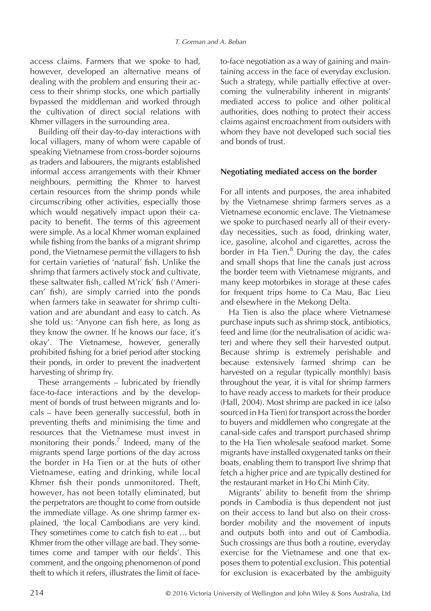access claims. Farmers that we spoke to had, however, developed an alternative means of dealing with the problem and ensuring their access to their shrimp stocks, one which partially bypassed the middleman and worked through the cultivation of direct social relations with Khmer villagers in the surrounding area.

Building off their day-to-day interactions with local villagers, many of whom were capable of speaking Vietnamese from cross-border sojourns as traders and labourers, the migrants established informal access arrangements with their Khmer neighbours, permitting the Khmer to harvest certain resources from the shrimp ponds while circumscribing other activities, especially those which would negatively impact upon their capacity to benefit. The terms of this agreement were simple. As a local Khmer woman explained while fishing from the banks of a migrant shrimp pond, the Vietnamese permit the villagers to fish for certain varieties of 'natural' fish. Unlike the shrimp that farmers actively stock and cultivate, these saltwater fish, called M'rick' fish ('American' fish), are simply carried into the ponds when farmers take in seawater for shrimp cultivation and are abundant and easy to catch. As she told us: 'Anyone can fish here, as long as they know the owner. If he knows our face, it's okay'. The Vietnamese, however, generally prohibited fishing for a brief period after stocking their ponds, in order to prevent the inadvertent harvesting of shrimp fry.

These arrangements – lubricated by friendly face-to-face interactions and by the development of bonds of trust between migrants and locals – have been generally successful, both in preventing thefts and minimising the time and resources that the Vietnamese must invest in monitoring their ponds.<sup>7</sup> Indeed, many of the migrants spend large portions of the day across the border in Ha Tien or at the huts of other Vietnamese, eating and drinking, while local Khmer fish their ponds unmonitored. Theft, however, has not been totally eliminated, but the perpetrators are thought to come from outside the immediate village. As one shrimp farmer explained, 'the local Cambodians are very kind. They sometimes come to catch fish to eat … but Khmer from the other village are bad. They sometimes come and tamper with our fields'. This comment, and the ongoing phenomenon of pond theft to which it refers, illustrates the limit of faceto-face negotiation as a way of gaining and maintaining access in the face of everyday exclusion. Such a strategy, while partially effective at overcoming the vulnerability inherent in migrants' mediated access to police and other political authorities, does nothing to protect their access claims against encroachment from outsiders with whom they have not developed such social ties and bonds of trust.

## Negotiating mediated access on the border

For all intents and purposes, the area inhabited by the Vietnamese shrimp farmers serves as a Vietnamese economic enclave. The Vietnamese we spoke to purchased nearly all of their everyday necessities, such as food, drinking water, ice, gasoline, alcohol and cigarettes, across the border in Ha Tien. $8$  During the day, the cafes and small shops that line the canals just across the border teem with Vietnamese migrants, and many keep motorbikes in storage at these cafes for frequent trips home to Ca Mau, Bac Lieu and elsewhere in the Mekong Delta.

Ha Tien is also the place where Vietnamese purchase inputs such as shrimp stock, antibiotics, feed and lime (for the neutralisation of acidic water) and where they sell their harvested output. Because shrimp is extremely perishable and because extensively farmed shrimp can be harvested on a regular (typically monthly) basis throughout the year, it is vital for shrimp farmers to have ready access to markets for their produce (Hall, 2004). Most shrimp are packed in ice (also sourced in Ha Tien) for transport across the border to buyers and middlemen who congregate at the canal-side cafes and transport purchased shrimp to the Ha Tien wholesale seafood market. Some migrants have installed oxygenated tanks on their boats, enabling them to transport live shrimp that fetch a higher price and are typically destined for the restaurant market in Ho Chi Minh City.

Migrants' ability to benefit from the shrimp ponds in Cambodia is thus dependent not just on their access to land but also on their crossborder mobility and the movement of inputs and outputs both into and out of Cambodia. Such crossings are thus both a routine, everyday exercise for the Vietnamese and one that exposes them to potential exclusion. This potential for exclusion is exacerbated by the ambiguity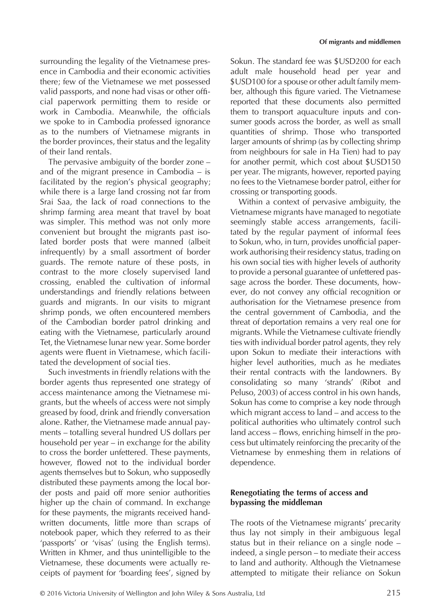surrounding the legality of the Vietnamese presence in Cambodia and their economic activities there; few of the Vietnamese we met possessed valid passports, and none had visas or other official paperwork permitting them to reside or work in Cambodia. Meanwhile, the officials we spoke to in Cambodia professed ignorance as to the numbers of Vietnamese migrants in the border provinces, their status and the legality of their land rentals.

The pervasive ambiguity of the border zone – and of the migrant presence in Cambodia – is facilitated by the region's physical geography; while there is a large land crossing not far from Srai Saa, the lack of road connections to the shrimp farming area meant that travel by boat was simpler. This method was not only more convenient but brought the migrants past isolated border posts that were manned (albeit infrequently) by a small assortment of border guards. The remote nature of these posts, in contrast to the more closely supervised land crossing, enabled the cultivation of informal understandings and friendly relations between guards and migrants. In our visits to migrant shrimp ponds, we often encountered members of the Cambodian border patrol drinking and eating with the Vietnamese, particularly around Tet, the Vietnamese lunar new year. Some border agents were fluent in Vietnamese, which facilitated the development of social ties.

Such investments in friendly relations with the border agents thus represented one strategy of access maintenance among the Vietnamese migrants, but the wheels of access were not simply greased by food, drink and friendly conversation alone. Rather, the Vietnamese made annual payments – totalling several hundred US dollars per household per year – in exchange for the ability to cross the border unfettered. These payments, however, flowed not to the individual border agents themselves but to Sokun, who supposedly distributed these payments among the local border posts and paid off more senior authorities higher up the chain of command. In exchange for these payments, the migrants received handwritten documents, little more than scraps of notebook paper, which they referred to as their 'passports' or 'visas' (using the English terms). Written in Khmer, and thus unintelligible to the Vietnamese, these documents were actually receipts of payment for 'boarding fees', signed by

Sokun. The standard fee was \$USD200 for each adult male household head per year and \$USD100 for a spouse or other adult family member, although this figure varied. The Vietnamese reported that these documents also permitted them to transport aquaculture inputs and consumer goods across the border, as well as small quantities of shrimp. Those who transported larger amounts of shrimp (as by collecting shrimp from neighbours for sale in Ha Tien) had to pay for another permit, which cost about \$USD150 per year. The migrants, however, reported paying no fees to the Vietnamese border patrol, either for crossing or transporting goods.

Within a context of pervasive ambiguity, the Vietnamese migrants have managed to negotiate seemingly stable access arrangements, facilitated by the regular payment of informal fees to Sokun, who, in turn, provides unofficial paperwork authorising their residency status, trading on his own social ties with higher levels of authority to provide a personal guarantee of unfettered passage across the border. These documents, however, do not convey any official recognition or authorisation for the Vietnamese presence from the central government of Cambodia, and the threat of deportation remains a very real one for migrants. While the Vietnamese cultivate friendly ties with individual border patrol agents, they rely upon Sokun to mediate their interactions with higher level authorities, much as he mediates their rental contracts with the landowners. By consolidating so many 'strands' (Ribot and Peluso, 2003) of access control in his own hands, Sokun has come to comprise a key node through which migrant access to land – and access to the political authorities who ultimately control such land access – flows, enriching himself in the process but ultimately reinforcing the precarity of the Vietnamese by enmeshing them in relations of dependence.

## Renegotiating the terms of access and bypassing the middleman

The roots of the Vietnamese migrants' precarity thus lay not simply in their ambiguous legal status but in their reliance on a single node – indeed, a single person – to mediate their access to land and authority. Although the Vietnamese attempted to mitigate their reliance on Sokun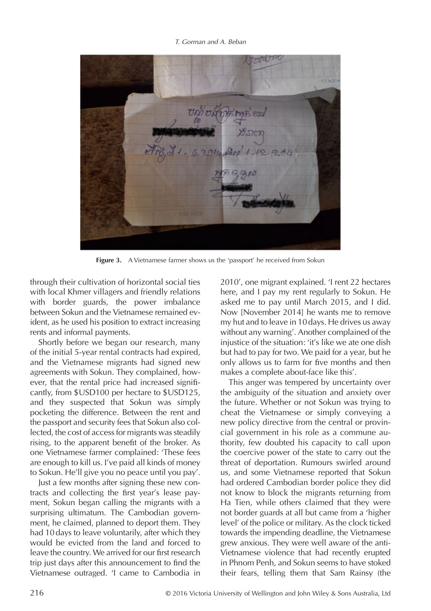T. Gorman and A. Beban



Figure 3. A Vietnamese farmer shows us the 'passport' he received from Sokun

through their cultivation of horizontal social ties with local Khmer villagers and friendly relations with border guards, the power imbalance between Sokun and the Vietnamese remained evident, as he used his position to extract increasing rents and informal payments.

Shortly before we began our research, many of the initial 5-year rental contracts had expired, and the Vietnamese migrants had signed new agreements with Sokun. They complained, however, that the rental price had increased significantly, from \$USD100 per hectare to \$USD125, and they suspected that Sokun was simply pocketing the difference. Between the rent and the passport and security fees that Sokun also collected, the cost of access for migrants was steadily rising, to the apparent benefit of the broker. As one Vietnamese farmer complained: 'These fees are enough to kill us. I've paid all kinds of money to Sokun. He'll give you no peace until you pay'.

Just a few months after signing these new contracts and collecting the first year's lease payment, Sokun began calling the migrants with a surprising ultimatum. The Cambodian government, he claimed, planned to deport them. They had 10 days to leave voluntarily, after which they would be evicted from the land and forced to leave the country. We arrived for our first research trip just days after this announcement to find the Vietnamese outraged. 'I came to Cambodia in

2010', one migrant explained. 'I rent 22 hectares here, and I pay my rent regularly to Sokun. He asked me to pay until March 2015, and I did. Now [November 2014] he wants me to remove my hut and to leave in 10 days. He drives us away without any warning'. Another complained of the injustice of the situation: 'it's like we ate one dish but had to pay for two. We paid for a year, but he only allows us to farm for five months and then makes a complete about-face like this'.

This anger was tempered by uncertainty over the ambiguity of the situation and anxiety over the future. Whether or not Sokun was trying to cheat the Vietnamese or simply conveying a new policy directive from the central or provincial government in his role as a commune authority, few doubted his capacity to call upon the coercive power of the state to carry out the threat of deportation. Rumours swirled around us, and some Vietnamese reported that Sokun had ordered Cambodian border police they did not know to block the migrants returning from Ha Tien, while others claimed that they were not border guards at all but came from a 'higher level' of the police or military. As the clock ticked towards the impending deadline, the Vietnamese grew anxious. They were well aware of the anti-Vietnamese violence that had recently erupted in Phnom Penh, and Sokun seems to have stoked their fears, telling them that Sam Rainsy (the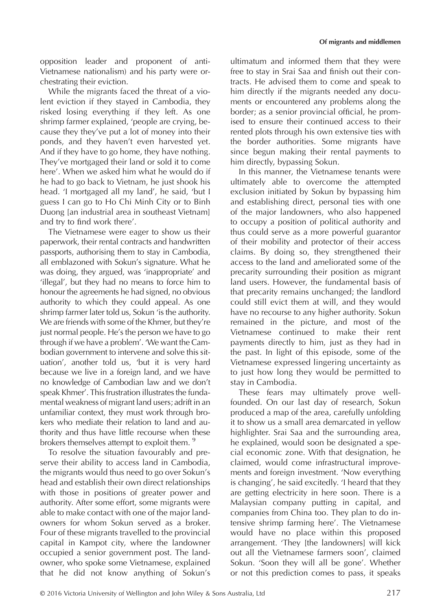opposition leader and proponent of anti-Vietnamese nationalism) and his party were orchestrating their eviction.

While the migrants faced the threat of a violent eviction if they stayed in Cambodia, they risked losing everything if they left. As one shrimp farmer explained, 'people are crying, because they they've put a lot of money into their ponds, and they haven't even harvested yet. And if they have to go home, they have nothing. They've mortgaged their land or sold it to come here'. When we asked him what he would do if he had to go back to Vietnam, he just shook his head. 'I mortgaged all my land', he said, 'but I guess I can go to Ho Chi Minh City or to Binh Duong [an industrial area in southeast Vietnam] and try to find work there'.

The Vietnamese were eager to show us their paperwork, their rental contracts and handwritten passports, authorising them to stay in Cambodia, all emblazoned with Sokun's signature. What he was doing, they argued, was 'inappropriate' and 'illegal', but they had no means to force him to honour the agreements he had signed, no obvious authority to which they could appeal. As one shrimp farmer later told us, Sokun 'is the authority. We are friends with some of the Khmer, but they're just normal people. He's the person we have to go through if we have a problem'. 'We want the Cambodian government to intervene and solve this situation', another told us, 'but it is very hard because we live in a foreign land, and we have no knowledge of Cambodian law and we don't speak Khmer'. This frustration illustrates the fundamental weakness of migrant land users; adrift in an unfamiliar context, they must work through brokers who mediate their relation to land and authority and thus have little recourse when these brokers themselves attempt to exploit them. <sup>9</sup>

To resolve the situation favourably and preserve their ability to access land in Cambodia, the migrants would thus need to go over Sokun's head and establish their own direct relationships with those in positions of greater power and authority. After some effort, some migrants were able to make contact with one of the major landowners for whom Sokun served as a broker. Four of these migrants travelled to the provincial capital in Kampot city, where the landowner occupied a senior government post. The landowner, who spoke some Vietnamese, explained that he did not know anything of Sokun's ultimatum and informed them that they were free to stay in Srai Saa and finish out their contracts. He advised them to come and speak to him directly if the migrants needed any documents or encountered any problems along the border; as a senior provincial official, he promised to ensure their continued access to their rented plots through his own extensive ties with the border authorities. Some migrants have since begun making their rental payments to him directly, bypassing Sokun.

In this manner, the Vietnamese tenants were ultimately able to overcome the attempted exclusion initiated by Sokun by bypassing him and establishing direct, personal ties with one of the major landowners, who also happened to occupy a position of political authority and thus could serve as a more powerful guarantor of their mobility and protector of their access claims. By doing so, they strengthened their access to the land and ameliorated some of the precarity surrounding their position as migrant land users. However, the fundamental basis of that precarity remains unchanged; the landlord could still evict them at will, and they would have no recourse to any higher authority. Sokun remained in the picture, and most of the Vietnamese continued to make their rent payments directly to him, just as they had in the past. In light of this episode, some of the Vietnamese expressed lingering uncertainty as to just how long they would be permitted to stay in Cambodia.

These fears may ultimately prove wellfounded. On our last day of research, Sokun produced a map of the area, carefully unfolding it to show us a small area demarcated in yellow highlighter. Srai Saa and the surrounding area, he explained, would soon be designated a special economic zone. With that designation, he claimed, would come infrastructural improvements and foreign investment. 'Now everything is changing', he said excitedly. 'I heard that they are getting electricity in here soon. There is a Malaysian company putting in capital, and companies from China too. They plan to do intensive shrimp farming here'. The Vietnamese would have no place within this proposed arrangement. 'They [the landowners] will kick out all the Vietnamese farmers soon', claimed Sokun. 'Soon they will all be gone'. Whether or not this prediction comes to pass, it speaks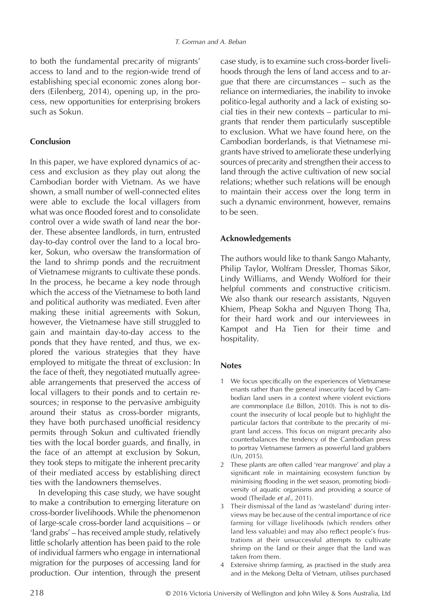to both the fundamental precarity of migrants' access to land and to the region-wide trend of establishing special economic zones along borders (Eilenberg, 2014), opening up, in the process, new opportunities for enterprising brokers such as Sokun.

### Conclusion

In this paper, we have explored dynamics of access and exclusion as they play out along the Cambodian border with Vietnam. As we have shown, a small number of well-connected elites were able to exclude the local villagers from what was once flooded forest and to consolidate control over a wide swath of land near the border. These absentee landlords, in turn, entrusted day-to-day control over the land to a local broker, Sokun, who oversaw the transformation of the land to shrimp ponds and the recruitment of Vietnamese migrants to cultivate these ponds. In the process, he became a key node through which the access of the Vietnamese to both land and political authority was mediated. Even after making these initial agreements with Sokun, however, the Vietnamese have still struggled to gain and maintain day-to-day access to the ponds that they have rented, and thus, we explored the various strategies that they have employed to mitigate the threat of exclusion: In the face of theft, they negotiated mutually agreeable arrangements that preserved the access of local villagers to their ponds and to certain resources; in response to the pervasive ambiguity around their status as cross-border migrants, they have both purchased unofficial residency permits through Sokun and cultivated friendly ties with the local border guards, and finally, in the face of an attempt at exclusion by Sokun, they took steps to mitigate the inherent precarity of their mediated access by establishing direct ties with the landowners themselves.

In developing this case study, we have sought to make a contribution to emerging literature on cross-border livelihoods. While the phenomenon of large-scale cross-border land acquisitions – or 'land grabs' – has received ample study, relatively little scholarly attention has been paid to the role of individual farmers who engage in international migration for the purposes of accessing land for production. Our intention, through the present

case study, is to examine such cross-border livelihoods through the lens of land access and to argue that there are circumstances – such as the reliance on intermediaries, the inability to invoke politico-legal authority and a lack of existing social ties in their new contexts – particular to migrants that render them particularly susceptible to exclusion. What we have found here, on the Cambodian borderlands, is that Vietnamese migrants have strived to ameliorate these underlying sources of precarity and strengthen their access to land through the active cultivation of new social relations; whether such relations will be enough to maintain their access over the long term in such a dynamic environment, however, remains to be seen.

#### Acknowledgements

The authors would like to thank Sango Mahanty, Philip Taylor, Wolfram Dressler, Thomas Sikor, Lindy Williams, and Wendy Wolford for their helpful comments and constructive criticism. We also thank our research assistants, Nguyen Khiem, Pheap Sokha and Nguyen Thong Tha, for their hard work and our interviewees in Kampot and Ha Tien for their time and hospitality.

#### **Notes**

- 1 We focus specifically on the experiences of Vietnamese enants rather than the general insecurity faced by Cambodian land users in a context where violent evictions are commonplace (Le Billon, 2010). This is not to discount the insecurity of local people but to highlight the particular factors that contribute to the precarity of migrant land access. This focus on migrant precarity also counterbalances the tendency of the Cambodian press to portray Vietnamese farmers as powerful land grabbers (Un, 2015).
- 2 These plants are often called 'rear mangrove' and play a significant role in maintaining ecosystem function by minimising flooding in the wet season, promoting biodiversity of aquatic organisms and providing a source of wood (Theilade et al., 2011).
- 3 Their dismissal of the land as 'wasteland' during interviews may be because of the central importance of rice farming for village livelihoods (which renders other land less valuable) and may also reflect people's frustrations at their unsuccessful attempts to cultivate shrimp on the land or their anger that the land was taken from them.
- 4 Extensive shrimp farming, as practised in the study area and in the Mekong Delta of Vietnam, utilises purchased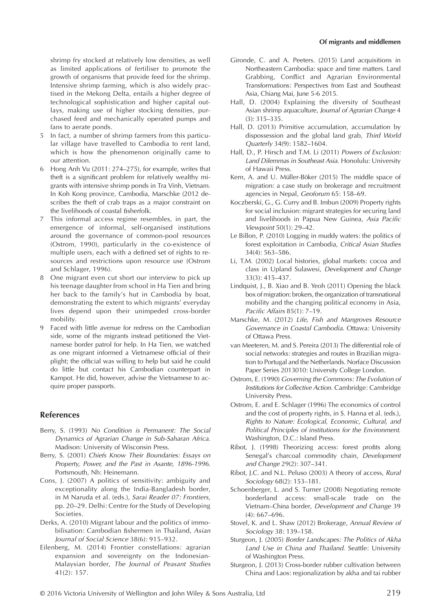shrimp fry stocked at relatively low densities, as well as limited applications of fertiliser to promote the growth of organisms that provide feed for the shrimp. Intensive shrimp farming, which is also widely practised in the Mekong Delta, entails a higher degree of technological sophistication and higher capital outlays, making use of higher stocking densities, purchased feed and mechanically operated pumps and fans to aerate ponds.

- 5 In fact, a number of shrimp farmers from this particular village have travelled to Cambodia to rent land, which is how the phenomenon originally came to our attention.
- 6 Hong Anh Vu (2011: 274–275), for example, writes that theft is a significant problem for relatively wealthy migrants with intensive shrimp ponds in Tra Vinh, Vietnam. In Koh Kong province, Cambodia, Marschke (2012 describes the theft of crab traps as a major constraint on the livelihoods of coastal fisherfolk.
- 7 This informal access regime resembles, in part, the emergence of informal, self-organised institutions around the governance of common-pool resources (Ostrom, 1990), particularly in the co-existence of multiple users, each with a defined set of rights to resources and restrictions upon resource use (Ostrom and Schlager, 1996).
- 8 One migrant even cut short our interview to pick up his teenage daughter from school in Ha Tien and bring her back to the family's hut in Cambodia by boat, demonstrating the extent to which migrants' everyday lives depend upon their unimpeded cross-border mobility.
- 9 Faced with little avenue for redress on the Cambodian side, some of the migrants instead petitioned the Vietnamese border patrol for help. In Ha Tien, we watched as one migrant informed a Vietnamese official of their plight; the official was willing to help but said he could do little but contact his Cambodian counterpart in Kampot. He did, however, advise the Vietnamese to acquire proper passports.

#### References

- Berry, S. (1993) No Condition is Permanent: The Social Dynamics of Agrarian Change in Sub-Saharan Africa. Madison: University of Wisconsin Press.
- Berry, S. (2001) Chiefs Know Their Boundaries: Essays on Property, Power, and the Past in Asante, 1896-1996. Portsmouth, Nh: Heinemann.
- Cons, J. (2007) A politics of sensitivity: ambiguity and exceptionality along the India-Bangladesh border, in M Naruda et al. (eds.), Sarai Reader 07: Frontiers, pp. 20–29. Delhi: Centre for the Study of Developing Societies.
- Derks, A. (2010) Migrant labour and the politics of immobilisation: Cambodian fishermen in Thailand, Asian Journal of Social Science 38(6): 915–932.
- Eilenberg, M. (2014) Frontier constellations: agrarian expansion and sovereignty on the Indonesian-Malaysian border, The Journal of Peasant Studies 41(2): 157.
- Gironde, C. and A. Peeters. (2015) Land acquisitions in Northeastern Cambodia: space and time matters. Land Grabbing, Conflict and Agrarian Environmental Transformations: Perspectives from East and Southeast Asia, Chiang Mai, June 5-6 2015.
- Hall, D. (2004) Explaining the diversity of Southeast Asian shrimp aquaculture, Journal of Agrarian Change 4 (3): 315–335.
- Hall, D. (2013) Primitive accumulation, accumulation by dispossession and the global land grab, Third World Quarterly 34(9): 1582–1604.
- Hall, D., P. Hirsch and T.M. Li (2011) Powers of Exclusion: Land Dilemmas in Southeast Asia. Honolulu: University of Hawaii Press.
- Kern, A. and U. Müller-Böker (2015) The middle space of migration: a case study on brokerage and recruitment agencies in Nepal, Geoforum 65: 158–69.
- Koczberski, G., G. Curry and B. Imbun (2009) Property rights for social inclusion: migrant strategies for securing land and livelihoods in Papua New Guinea, Asia Pacific Viewpoint 50(1): 29–42.
- Le Billon, P. (2010) Logging in muddy waters: the politics of forest exploitation in Cambodia, Critical Asian Studies 34(4): 563–586.
- Li, T.M. (2002) Local histories, global markets: cocoa and class in Upland Sulawesi, Development and Change 33(3): 415–437.
- Lindquist, J., B. Xiao and B. Yeoh (2011) Opening the black box of migration: brokers, the organization of transnational mobility and the changing political economy in Asia, Pacific Affairs 85(1): 7–19.
- Marschke, M. (2012) Life, Fish and Mangroves Resource Governance in Coastal Cambodia. Ottawa: University of Ottawa Press.
- van Meeteren, M. and S. Pereira (2013) The differential role of social networks: strategies and routes in Brazilian migration to Portugal and the Netherlands. Norface Discussion Paper Series 2013010: University College London.
- Ostrom, E. (1990) Governing the Commons: The Evolution of Institutions for Collective Action. Cambridge: Cambridge University Press.
- Ostrom, E. and E. Schlager (1996) The economics of control and the cost of property rights, in S. Hanna et al. (eds.), Rights to Nature: Ecological, Economic, Cultural, and Political Principles of institutions for the Environment. Washington, D.C.: Island Press.
- Ribot, J. (1998) Theorizing access: forest profits along Senegal's charcoal commodity chain, Development and Change 29(2): 307–341.
- Ribot, J.C. and N.L. Peluso (2003) A theory of access, Rural Sociology 68(2): 153–181.
- Schoenberger, L. and S. Turner (2008) Negotiating remote borderland access: small-scale trade on the Vietnam–China border, Development and Change 39 (4): 667–696.
- Stovel, K. and L. Shaw (2012) Brokerage, Annual Review of Sociology 38: 139–158.
- Sturgeon, J. (2005) Border Landscapes: The Politics of Akha Land Use in China and Thailand. Seattle: University of Washington Press.
- Sturgeon, J. (2013) Cross-border rubber cultivation between China and Laos: regionalization by akha and tai rubber